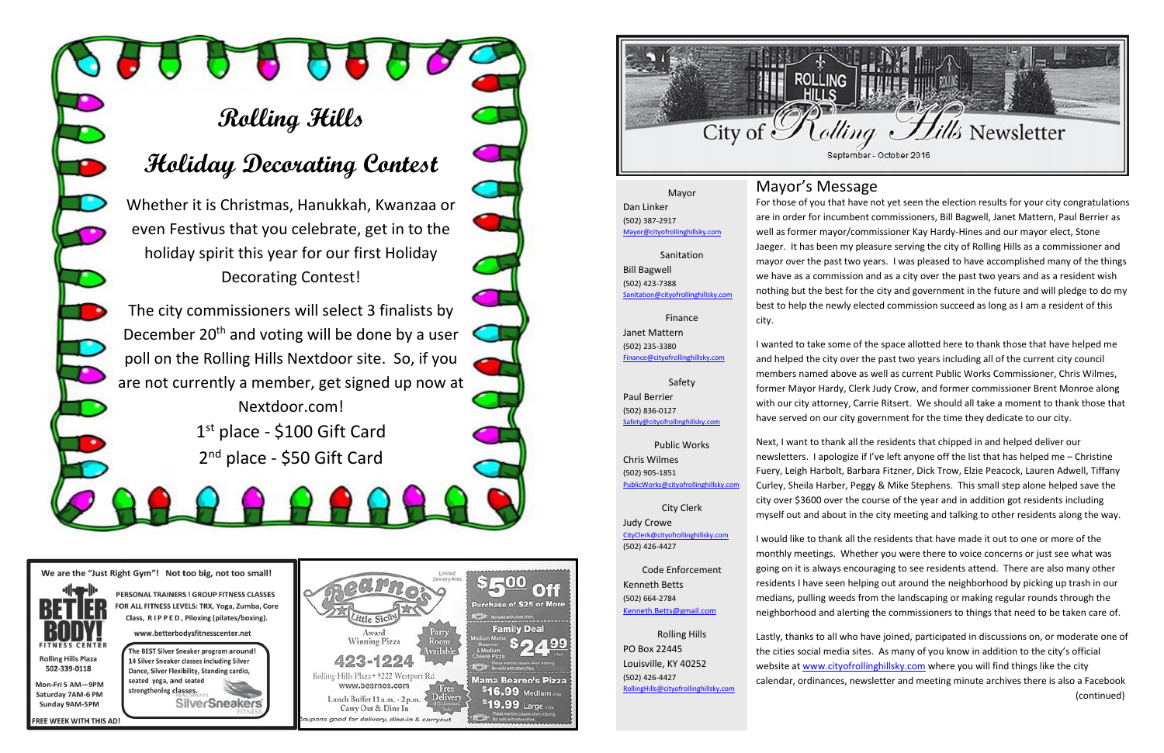# **Rolling Hills**

## **Holiday Decorating Contest**

Whether it is Christmas, Hanukkah, Kwanzaa or even Festivus that you celebrate, get in to the holiday spirit this year for our first Holiday Decorating Contest!

> Nextdoor.com! 1st place - \$100 Gift Card 2<sup>nd</sup> place - \$50 Gift Card

We are the "Just Right Gym"! Not too big, not too small!



strengthening classes. Saturday 7AM-6 PM Sunday 9AM-5PM

The BEST Silver Sneaker program around! 14 Silver Sneaker classes including Silver Dance, Silver Flexibility, Standing cardio, seated yoga, and seated **SilverSneakers** 

PERSONAL TRAINERS ! GROUP FITNESS CLASSES

Class, RIPPED, Piloxing (pilates/boxing).

www.betterbodysfitnesscenter.net





The city commissioners will select 3 finalists by December 20<sup>th</sup> and voting will be done by a user poll on the Rolling Hills Nextdoor site. So, if you are not currently a member, get signed up now at Mayor's Message For those of you that have not yet seen the election results for your city congratulations are in order for incumbent commissioners, Bill Bagwell, Janet Mattern, Paul Berrier as well as former mayor/commissioner Kay Hardy-Hines and our mayor elect, Stone Jaeger. It has been my pleasure serving the city of Rolling Hills as a commissioner and mayor over the past two years. I was pleased to have accomplished many of the things we have as a commission and as a city over the past two years and as a resident wish nothing but the best for the city and government in the future and will pledge to do my best to help the newly elected commission succeed as long as I am a resident of this city.

I wanted to take some of the space allotted here to thank those that have helped me and helped the city over the past two years including all of the current city council members named above as well as current Public Works Commissioner, Chris Wilmes, former Mayor Hardy, Clerk Judy Crow, and former commissioner Brent Monroe along with our city attorney, Carrie Ritsert. We should all take a moment to thank those that have served on our city government for the time they dedicate to our city.

(502) 423-7388 [Sanitation@cityofrollinghillsky.com](mailto:Sanitation@cityofrollinghillsky.com)

> Next, I want to thank all the residents that chipped in and helped deliver our newsletters. I apologize if I've left anyone off the list that has helped me – Christine Fuery, Leigh Harbolt, Barbara Fitzner, Dick Trow, Elzie Peacock, Lauren Adwell, Tiffany Curley, Sheila Harber, Peggy & Mike Stephens. This small step alone helped save the city over \$3600 over the course of the year and in addition got residents including myself out and about in the city meeting and talking to other residents along the way.

> I would like to thank all the residents that have made it out to one or more of the monthly meetings. Whether you were there to voice concerns or just see what was going on it is always encouraging to see residents attend. There are also many other residents I have seen helping out around the neighborhood by picking up trash in our medians, pulling weeds from the landscaping or making regular rounds through the neighborhood and alerting the commissioners to things that need to be taken care of.

Lastly, thanks to all who have joined, participated in discussions on, or moderate one of the cities social media sites. As many of you know in addition to the city's official website at [www.cityofrollinghillsky.com](http://www.cityofrollinghillsky.com/) where you will find things like the city calendar, ordinances, newsletter and meeting minute archives there is also a Facebook (continued)

**REE WEEK WITH THIS AD!** 

### Mayor

Dan Linker (502) 387-2917 [Mayor@cityofrollinghillsky.com](mailto:Mayor@cityofrollinghillsky.com)

Sanitation Bill Bagwell

Finance Janet Mattern (502) 235-3380 [Finance@cityofrollinghillsky.com](mailto:Finance@cityofrollinghillsky.com)

Safety Paul Berrier (502) 836-0127 [Safety@cityofrollinghillsky.com](mailto:Safety@cityofrollinghillsky.com)

Public Works Chris Wilmes (502) 905-1851 [PublicWorks@cityofrollinghillsky.com](mailto:PublicWorks@cityofrollinghillsky.com)

City Clerk Judy Crowe [CityClerk@cityofrollinghillsky.com](mailto:CityClerk@cityofrollinghillsky.com)

(502) 426-4427

Code Enforcement Kenneth Betts (502) 664-2784 [Kenneth.Betts@gmail.com](mailto:kenneth.betts@gmail.com)

Rolling Hills PO Box 22445 Louisville, KY 40252 (502) 426-4427 [RollingHills@cityofrollinghillsky.com](mailto:RollingHills@cityofrollinghillsky.com)